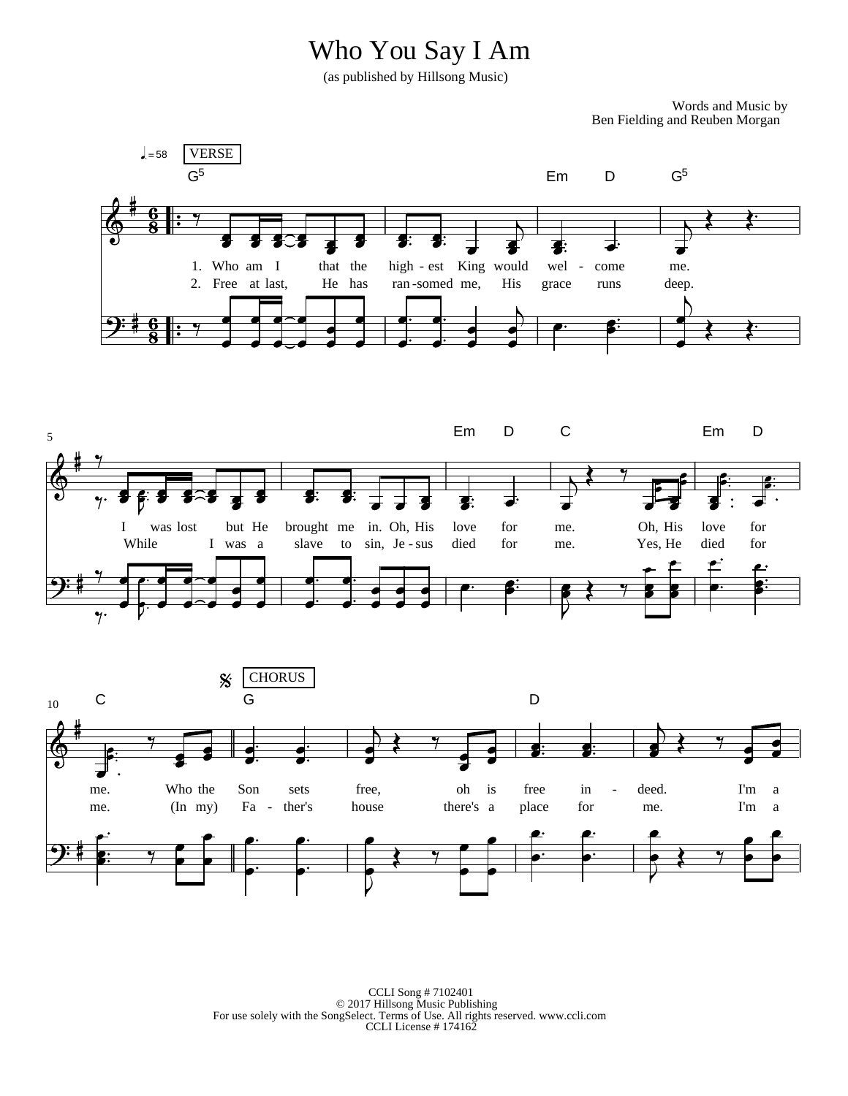## Who You Say I Am

(as published by Hillsong Music)

Words and Music by Ben Fielding and Reuben Morgan







CCLI Song # 7102401 © 2017 Hillsong Music Publishing For use solely with the SongSelect. Terms of Use. All rights reserved. www.ccli.com CCLI License # 174162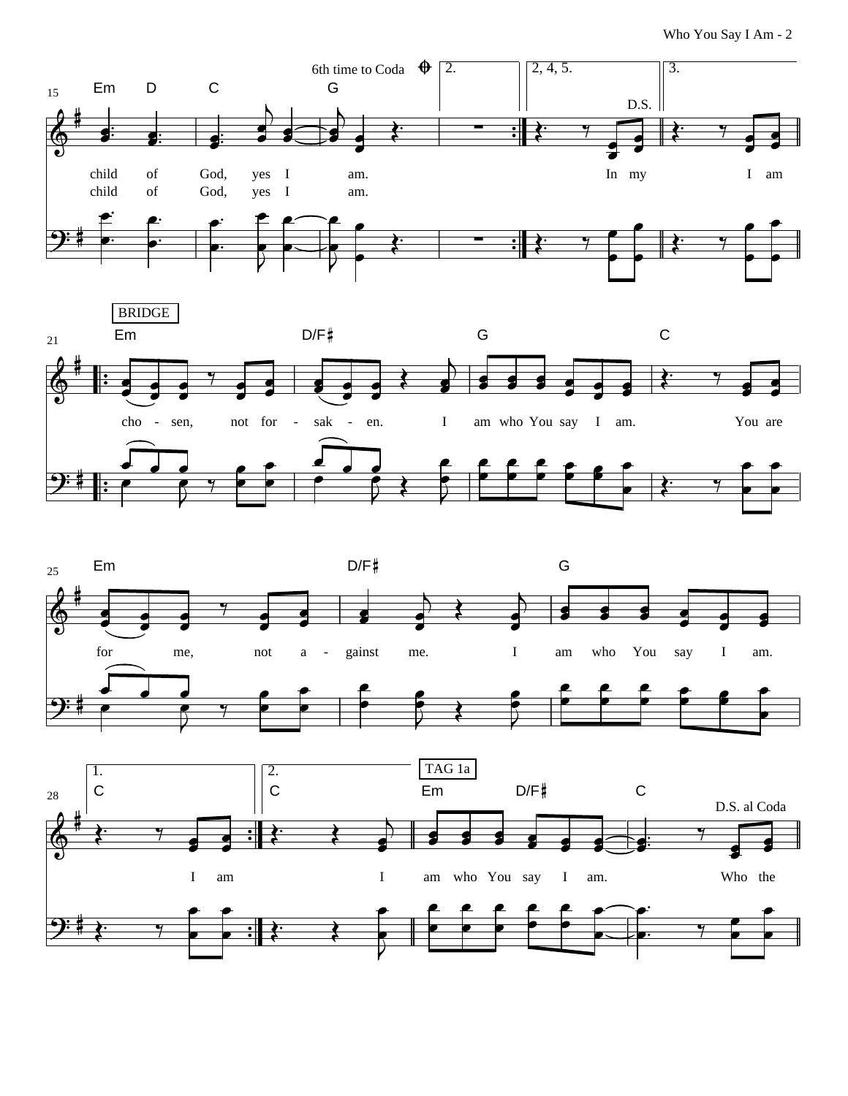Who You Say I Am - 2







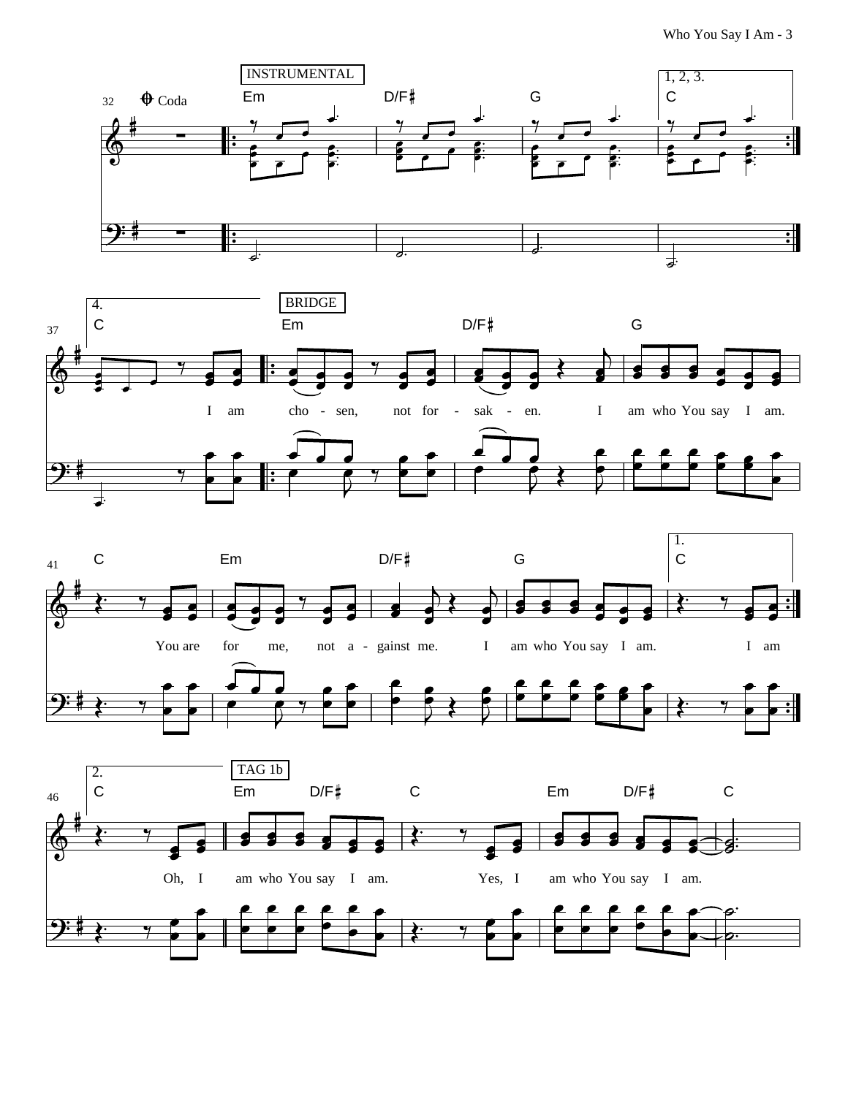Who You Say I Am - 3